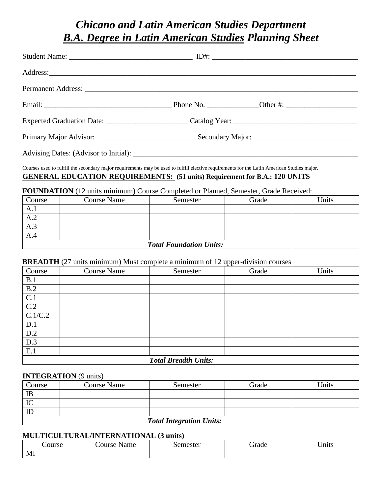# *Chicano and Latin American Studies Department B.A. Degree in Latin American Studies Planning Sheet*

| Courses used to fulfill the secondary major requirements may be used to fulfill elective requirements for the Latin American Studies major.<br><b>GENERAL EDUCATION REQUIREMENTS:</b> (51 units) Requirement for B.A.: 120 UNITS<br><b>FOUNDATION</b> (12 units minimum) Course Completed or Planned, Semester, Grade Received: |                        |  |       |       |  |
|---------------------------------------------------------------------------------------------------------------------------------------------------------------------------------------------------------------------------------------------------------------------------------------------------------------------------------|------------------------|--|-------|-------|--|
| Course                                                                                                                                                                                                                                                                                                                          | Course Name   Semester |  | Grade | Units |  |
| A.1                                                                                                                                                                                                                                                                                                                             |                        |  |       |       |  |
| A.2                                                                                                                                                                                                                                                                                                                             |                        |  |       |       |  |

| <b>Total Foundation Units:</b> |  |
|--------------------------------|--|

## **BREADTH** (27 units minimum) Must complete a minimum of 12 upper-division courses

| Course           | $\sim$<br>.<br><b>Course Name</b> | Semester | T T =<br>Grade | Units |  |
|------------------|-----------------------------------|----------|----------------|-------|--|
| B.1              |                                   |          |                |       |  |
| B.2              |                                   |          |                |       |  |
| C.1              |                                   |          |                |       |  |
| $\overline{C.2}$ |                                   |          |                |       |  |
| C.1/C.2          |                                   |          |                |       |  |
| D.1              |                                   |          |                |       |  |
| D.2              |                                   |          |                |       |  |
| D.3              |                                   |          |                |       |  |
| E.1              |                                   |          |                |       |  |
|                  | <b>Total Breadth Units:</b>       |          |                |       |  |

# **INTEGRATION** (9 units)

A.3 A.4

| Course                          | <b>Course Name</b> | Semester | Grade | <b>Jnits</b> |  |
|---------------------------------|--------------------|----------|-------|--------------|--|
| IB                              |                    |          |       |              |  |
| IC                              |                    |          |       |              |  |
| ID                              |                    |          |       |              |  |
| <b>Total Integration Units:</b> |                    |          |       |              |  |

## **MULTICULTURAL/INTERNATIONAL (3 units)**

| ourse | -<br>ame<br>ourse | iemester<br>.5 <sup>o</sup><br>งเบ | $\overline{\phantom{0}}$<br>irade | $ -$<br>lnits |
|-------|-------------------|------------------------------------|-----------------------------------|---------------|
| MI    |                   |                                    |                                   |               |